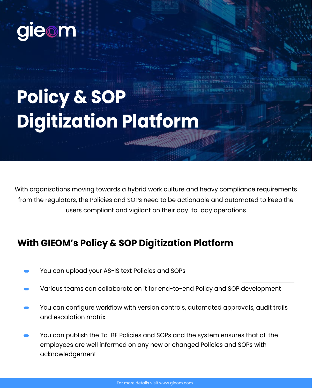

## **Policy & SOP Digitization Platform**

With organizations moving towards a hybrid work culture and heavy compliance requirements from the regulators, the Policies and SOPs need to be actionable and automated to keep the users compliant and vigilant on their day-to-day operations

## **With GIEOM's Policy & SOP Digitization Platform**

- You can upload your AS-IS text Policies and SOPs
- Various teams can collaborate on it for end-to-end Policy and SOP development
- You can configure workflow with version controls, automated approvals, audit trails and escalation matrix
- You can publish the To-BE Policies and SOPs and the system ensures that all the employees are well informed on any new or changed Policies and SOPs with acknowledgement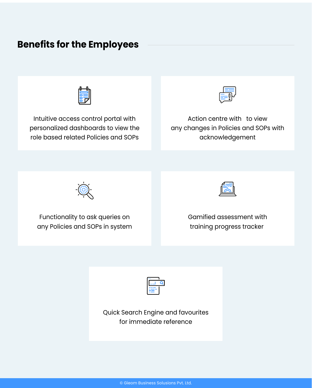## **Benefits for the Employees**



Intuitive access control portal with personalized dashboards to view the role based related Policies and SOPs



Action centre with to view any changes in Policies and SOPs with acknowledgement



Functionality to ask queries on any Policies and SOPs in system



Gamified assessment with training progress tracker

| л. |  |
|----|--|
|    |  |
|    |  |

Quick Search Engine and favourites for immediate reference